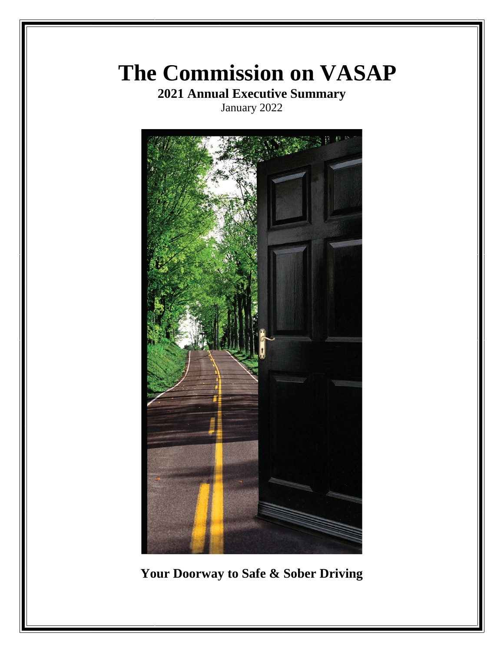# **The Commission on VASAP**

**2021 Annual Executive Summary** January 2022



**Your Doorway to Safe & Sober Driving**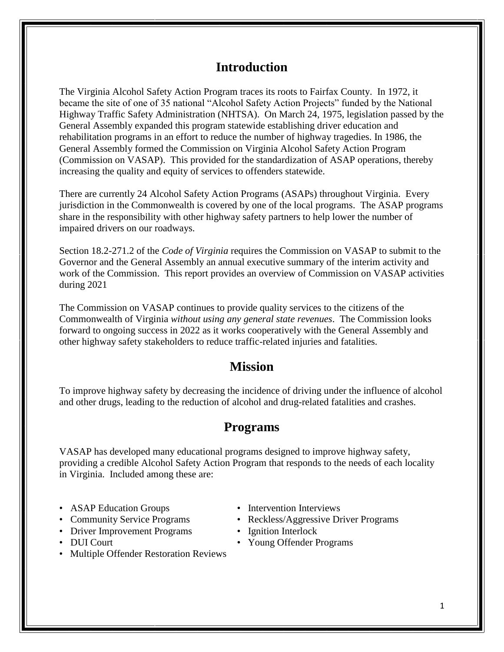# **Introduction**

The Virginia Alcohol Safety Action Program traces its roots to Fairfax County. In 1972, it became the site of one of 35 national "Alcohol Safety Action Projects" funded by the National Highway Traffic Safety Administration (NHTSA). On March 24, 1975, legislation passed by the General Assembly expanded this program statewide establishing driver education and rehabilitation programs in an effort to reduce the number of highway tragedies. In 1986, the General Assembly formed the Commission on Virginia Alcohol Safety Action Program (Commission on VASAP). This provided for the standardization of ASAP operations, thereby increasing the quality and equity of services to offenders statewide.

There are currently 24 Alcohol Safety Action Programs (ASAPs) throughout Virginia. Every jurisdiction in the Commonwealth is covered by one of the local programs. The ASAP programs share in the responsibility with other highway safety partners to help lower the number of impaired drivers on our roadways.

Section 18.2-271.2 of the *Code of Virginia* requires the Commission on VASAP to submit to the Governor and the General Assembly an annual executive summary of the interim activity and work of the Commission. This report provides an overview of Commission on VASAP activities during 2021

The Commission on VASAP continues to provide quality services to the citizens of the Commonwealth of Virginia *without using any general state revenues*. The Commission looks forward to ongoing success in 2022 as it works cooperatively with the General Assembly and other highway safety stakeholders to reduce traffic-related injuries and fatalities.

# **Mission**

To improve highway safety by decreasing the incidence of driving under the influence of alcohol and other drugs, leading to the reduction of alcohol and drug-related fatalities and crashes.

# **Programs**

VASAP has developed many educational programs designed to improve highway safety, providing a credible Alcohol Safety Action Program that responds to the needs of each locality in Virginia. Included among these are:

- ASAP Education Groups Intervention Interviews
- 
- Driver Improvement Programs Ignition Interlock
- 
- Multiple Offender Restoration Reviews
- 
- Community Service Programs Reckless/Aggressive Driver Programs
	-
- DUI Court Young Offender Programs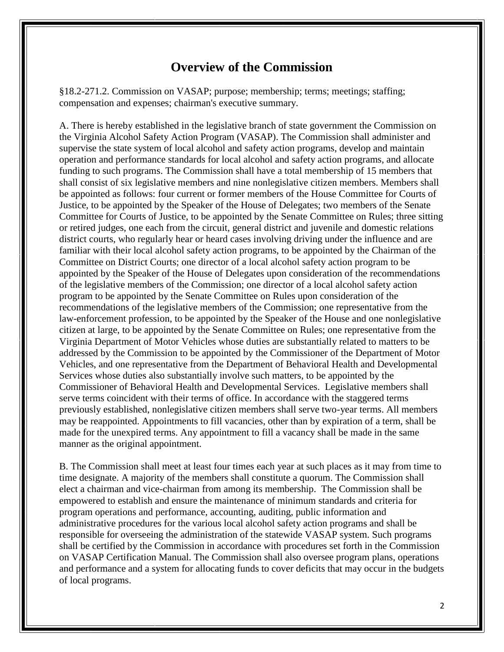# **Overview of the Commission**

§18.2-271.2. Commission on VASAP; purpose; membership; terms; meetings; staffing; compensation and expenses; chairman's executive summary.

A. There is hereby established in the legislative branch of state government the Commission on the Virginia Alcohol Safety Action Program (VASAP). The Commission shall administer and supervise the state system of local alcohol and safety action programs, develop and maintain operation and performance standards for local alcohol and safety action programs, and allocate funding to such programs. The Commission shall have a total membership of 15 members that shall consist of six legislative members and nine nonlegislative citizen members. Members shall be appointed as follows: four current or former members of the House Committee for Courts of Justice, to be appointed by the Speaker of the House of Delegates; two members of the Senate Committee for Courts of Justice, to be appointed by the Senate Committee on Rules; three sitting or retired judges, one each from the circuit, general district and juvenile and domestic relations district courts, who regularly hear or heard cases involving driving under the influence and are familiar with their local alcohol safety action programs, to be appointed by the Chairman of the Committee on District Courts; one director of a local alcohol safety action program to be appointed by the Speaker of the House of Delegates upon consideration of the recommendations of the legislative members of the Commission; one director of a local alcohol safety action program to be appointed by the Senate Committee on Rules upon consideration of the recommendations of the legislative members of the Commission; one representative from the law-enforcement profession, to be appointed by the Speaker of the House and one nonlegislative citizen at large, to be appointed by the Senate Committee on Rules; one representative from the Virginia Department of Motor Vehicles whose duties are substantially related to matters to be addressed by the Commission to be appointed by the Commissioner of the Department of Motor Vehicles, and one representative from the Department of Behavioral Health and Developmental Services whose duties also substantially involve such matters, to be appointed by the Commissioner of Behavioral Health and Developmental Services. Legislative members shall serve terms coincident with their terms of office. In accordance with the staggered terms previously established, nonlegislative citizen members shall serve two-year terms. All members may be reappointed. Appointments to fill vacancies, other than by expiration of a term, shall be made for the unexpired terms. Any appointment to fill a vacancy shall be made in the same manner as the original appointment.

B. The Commission shall meet at least four times each year at such places as it may from time to time designate. A majority of the members shall constitute a quorum. The Commission shall elect a chairman and vice-chairman from among its membership. The Commission shall be empowered to establish and ensure the maintenance of minimum standards and criteria for program operations and performance, accounting, auditing, public information and administrative procedures for the various local alcohol safety action programs and shall be responsible for overseeing the administration of the statewide VASAP system. Such programs shall be certified by the Commission in accordance with procedures set forth in the Commission on VASAP Certification Manual. The Commission shall also oversee program plans, operations and performance and a system for allocating funds to cover deficits that may occur in the budgets of local programs.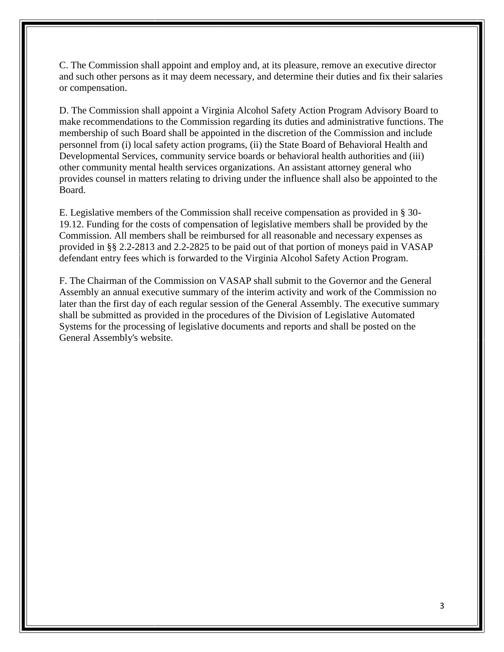C. The Commission shall appoint and employ and, at its pleasure, remove an executive director and such other persons as it may deem necessary, and determine their duties and fix their salaries or compensation.

D. The Commission shall appoint a Virginia Alcohol Safety Action Program Advisory Board to make recommendations to the Commission regarding its duties and administrative functions. The membership of such Board shall be appointed in the discretion of the Commission and include personnel from (i) local safety action programs, (ii) the State Board of Behavioral Health and Developmental Services, community service boards or behavioral health authorities and (iii) other community mental health services organizations. An assistant attorney general who provides counsel in matters relating to driving under the influence shall also be appointed to the Board.

E. Legislative members of the Commission shall receive compensation as provided in § 30- 19.12. Funding for the costs of compensation of legislative members shall be provided by the Commission. All members shall be reimbursed for all reasonable and necessary expenses as provided in §§ 2.2-2813 and 2.2-2825 to be paid out of that portion of moneys paid in VASAP defendant entry fees which is forwarded to the Virginia Alcohol Safety Action Program.

F. The Chairman of the Commission on VASAP shall submit to the Governor and the General Assembly an annual executive summary of the interim activity and work of the Commission no later than the first day of each regular session of the General Assembly. The executive summary shall be submitted as provided in the procedures of the Division of Legislative Automated Systems for the processing of legislative documents and reports and shall be posted on the General Assembly's website.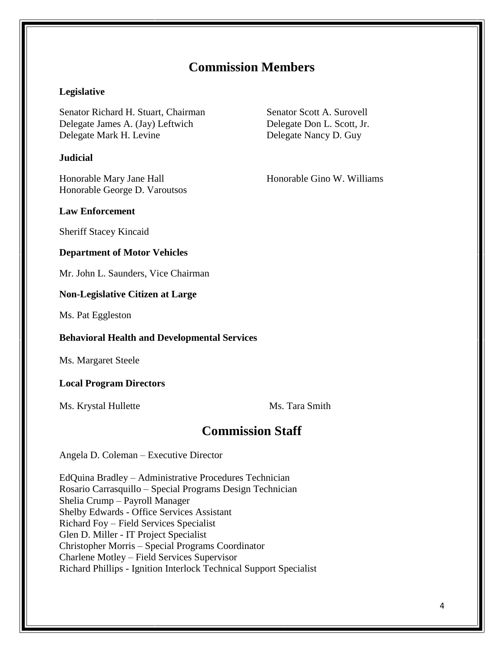# **Commission Members**

#### **Legislative**

Senator Richard H. Stuart, Chairman Senator Scott A. Surovell Delegate James A. (Jay) Leftwich Delegate Don L. Scott, Jr. Delegate Mark H. Levine Delegate Nancy D. Guy

#### **Judicial**

Honorable Mary Jane Hall Honorable Gino W. Williams Honorable George D. Varoutsos

#### **Law Enforcement**

Sheriff Stacey Kincaid

#### **Department of Motor Vehicles**

Mr. John L. Saunders, Vice Chairman

#### **Non-Legislative Citizen at Large**

Ms. Pat Eggleston

#### **Behavioral Health and Developmental Services**

Ms. Margaret Steele

#### **Local Program Directors**

Ms. Krystal Hullette Ms. Tara Smith

## **Commission Staff**

Angela D. Coleman – Executive Director

EdQuina Bradley – Administrative Procedures Technician Rosario Carrasquillo – Special Programs Design Technician Shelia Crump – Payroll Manager Shelby Edwards - Office Services Assistant Richard Foy – Field Services Specialist Glen D. Miller - IT Project Specialist Christopher Morris – Special Programs Coordinator Charlene Motley – Field Services Supervisor Richard Phillips - Ignition Interlock Technical Support Specialist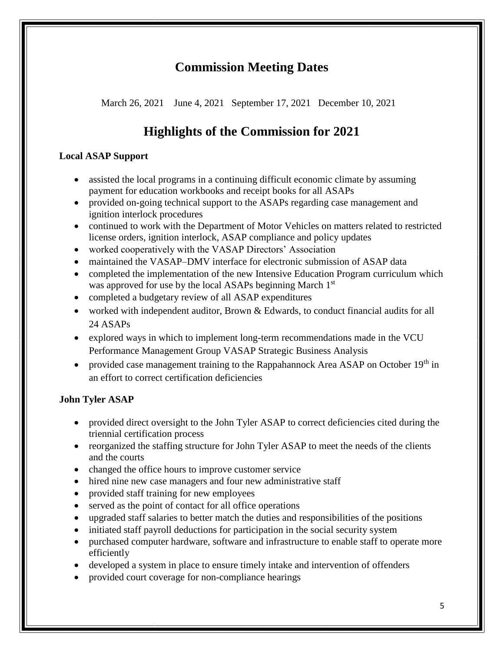# **Commission Meeting Dates**

March 26, 2021 June 4, 2021 September 17, 2021 December 10, 2021

# **Highlights of the Commission for 2021**

## **Local ASAP Support**

- assisted the local programs in a continuing difficult economic climate by assuming payment for education workbooks and receipt books for all ASAPs
- provided on-going technical support to the ASAPs regarding case management and ignition interlock procedures
- continued to work with the Department of Motor Vehicles on matters related to restricted license orders, ignition interlock, ASAP compliance and policy updates
- worked cooperatively with the VASAP Directors' Association
- maintained the VASAP–DMV interface for electronic submission of ASAP data
- completed the implementation of the new Intensive Education Program curriculum which was approved for use by the local ASAPs beginning March 1<sup>st</sup>
- completed a budgetary review of all ASAP expenditures
- worked with independent auditor, Brown & Edwards, to conduct financial audits for all 24 ASAPs
- explored ways in which to implement long-term recommendations made in the VCU Performance Management Group VASAP Strategic Business Analysis
- provided case management training to the Rappahannock Area ASAP on October 19<sup>th</sup> in an effort to correct certification deficiencies

## **John Tyler ASAP**

- provided direct oversight to the John Tyler ASAP to correct deficiencies cited during the triennial certification process
- reorganized the staffing structure for John Tyler ASAP to meet the needs of the clients and the courts
- changed the office hours to improve customer service
- hired nine new case managers and four new administrative staff
- provided staff training for new employees
- served as the point of contact for all office operations
- upgraded staff salaries to better match the duties and responsibilities of the positions
- initiated staff payroll deductions for participation in the social security system
- purchased computer hardware, software and infrastructure to enable staff to operate more efficiently
- developed a system in place to ensure timely intake and intervention of offenders
- provided court coverage for non-compliance hearings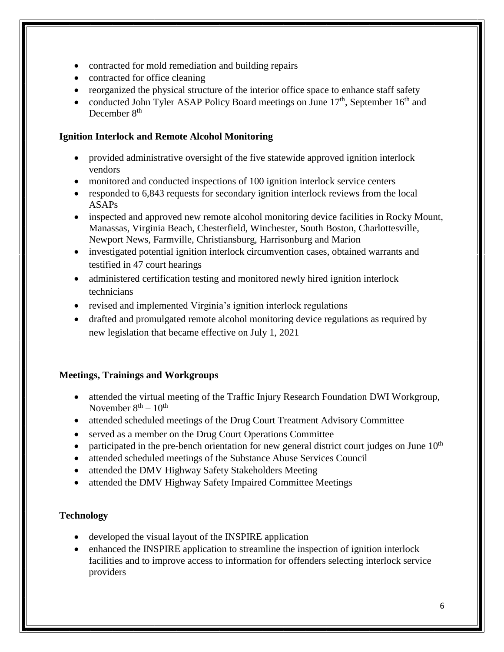- contracted for mold remediation and building repairs
- contracted for office cleaning
- reorganized the physical structure of the interior office space to enhance staff safety
- conducted John Tyler ASAP Policy Board meetings on June  $17<sup>th</sup>$ , September  $16<sup>th</sup>$  and December 8<sup>th</sup>

## **Ignition Interlock and Remote Alcohol Monitoring**

- provided administrative oversight of the five statewide approved ignition interlock vendors
- monitored and conducted inspections of 100 ignition interlock service centers
- responded to 6,843 requests for secondary ignition interlock reviews from the local ASAPs
- inspected and approved new remote alcohol monitoring device facilities in Rocky Mount, Manassas, Virginia Beach, Chesterfield, Winchester, South Boston, Charlottesville, Newport News, Farmville, Christiansburg, Harrisonburg and Marion
- investigated potential ignition interlock circumvention cases, obtained warrants and testified in 47 court hearings
- administered certification testing and monitored newly hired ignition interlock technicians
- revised and implemented Virginia's ignition interlock regulations
- drafted and promulgated remote alcohol monitoring device regulations as required by new legislation that became effective on July 1, 2021

## **Meetings, Trainings and Workgroups**

- attended the virtual meeting of the Traffic Injury Research Foundation DWI Workgroup, November  $8<sup>th</sup> - 10<sup>th</sup>$
- attended scheduled meetings of the Drug Court Treatment Advisory Committee
- served as a member on the Drug Court Operations Committee
- participated in the pre-bench orientation for new general district court judges on June  $10<sup>th</sup>$
- attended scheduled meetings of the Substance Abuse Services Council
- attended the DMV Highway Safety Stakeholders Meeting
- attended the DMV Highway Safety Impaired Committee Meetings

## **Technology**

- developed the visual layout of the INSPIRE application
- enhanced the INSPIRE application to streamline the inspection of ignition interlock facilities and to improve access to information for offenders selecting interlock service providers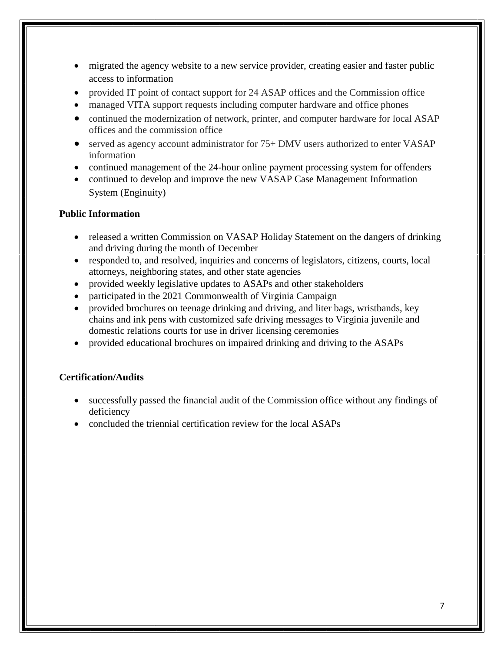- migrated the agency website to a new service provider, creating easier and faster public access to information
- provided IT point of contact support for 24 ASAP offices and the Commission office
- managed VITA support requests including computer hardware and office phones
- continued the modernization of network, printer, and computer hardware for local ASAP offices and the commission office
- served as agency account administrator for 75+ DMV users authorized to enter VASAP information
- continued management of the 24-hour online payment processing system for offenders
- continued to develop and improve the new VASAP Case Management Information System (Enginuity)

#### **Public Information**

- released a written Commission on VASAP Holiday Statement on the dangers of drinking and driving during the month of December
- responded to, and resolved, inquiries and concerns of legislators, citizens, courts, local attorneys, neighboring states, and other state agencies
- provided weekly legislative updates to ASAPs and other stakeholders
- participated in the 2021 Commonwealth of Virginia Campaign
- provided brochures on teenage drinking and driving, and liter bags, wristbands, key chains and ink pens with customized safe driving messages to Virginia juvenile and domestic relations courts for use in driver licensing ceremonies
- provided educational brochures on impaired drinking and driving to the ASAPs

### **Certification/Audits**

- successfully passed the financial audit of the Commission office without any findings of deficiency
- concluded the triennial certification review for the local ASAPs